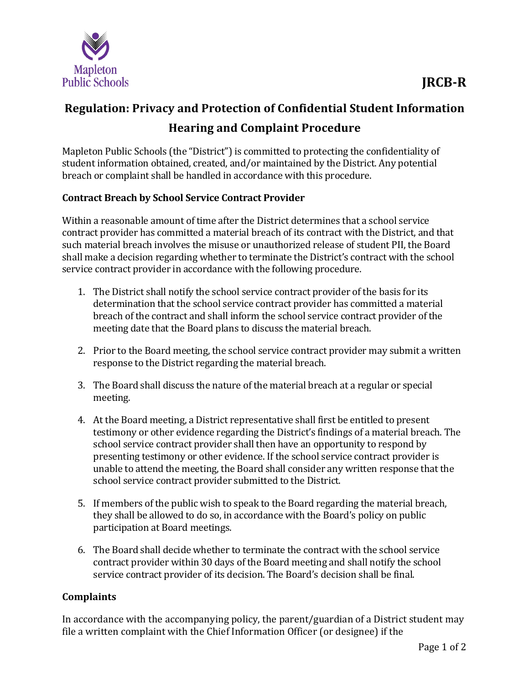

## **Regulation: Privacy and Protection of Confidential Student Information Hearing and Complaint Procedure**

Mapleton Public Schools (the "District") is committed to protecting the confidentiality of student information obtained, created, and/or maintained by the District. Any potential breach or complaint shall be handled in accordance with this procedure.

## **Contract Breach by School Service Contract Provider**

Within a reasonable amount of time after the District determines that a school service contract provider has committed a material breach of its contract with the District, and that such material breach involves the misuse or unauthorized release of student PII, the Board shall make a decision regarding whether to terminate the District's contract with the school service contract provider in accordance with the following procedure.

- 1. The District shall notify the school service contract provider of the basis for its determination that the school service contract provider has committed a material breach of the contract and shall inform the school service contract provider of the meeting date that the Board plans to discuss the material breach.
- 2. Prior to the Board meeting, the school service contract provider may submit a written response to the District regarding the material breach.
- 3. The Board shall discuss the nature of the material breach at a regular or special meeting.
- 4. At the Board meeting, a District representative shall first be entitled to present testimony or other evidence regarding the District's findings of a material breach. The school service contract provider shall then have an opportunity to respond by presenting testimony or other evidence. If the school service contract provider is unable to attend the meeting, the Board shall consider any written response that the school service contract provider submitted to the District.
- 5. If members of the public wish to speak to the Board regarding the material breach, they shall be allowed to do so, in accordance with the Board's policy on public participation at Board meetings.
- 6. The Board shall decide whether to terminate the contract with the school service contract provider within 30 days of the Board meeting and shall notify the school service contract provider of its decision. The Board's decision shall be final.

## **Complaints**

In accordance with the accompanying policy, the parent/guardian of a District student may file a written complaint with the Chief Information Officer (or designee) if the